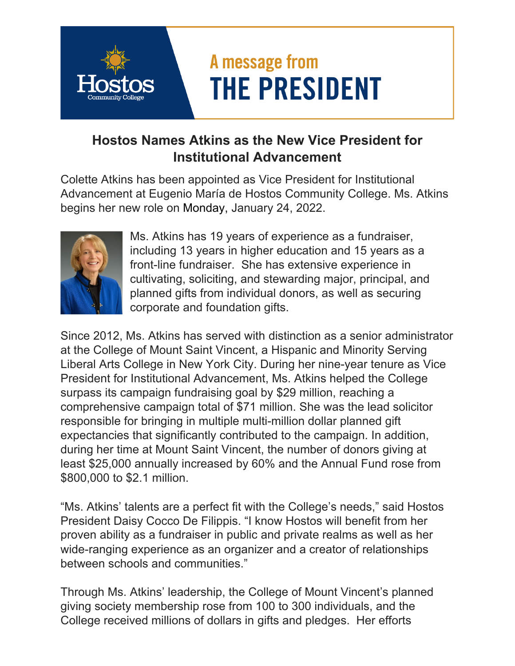## A message from **THE PRESIDENT**

## **Hostos Names Atkins as the New Vice President for Institutional Advancement**

Colette Atkins has been appointed as Vice President for Institutional Advancement at Eugenio María de Hostos Community College. Ms. Atkins begins her new role on Monday, January 24, 2022.



Ms. Atkins has 19 years of experience as a fundraiser, including 13 years in higher education and 15 years as a front-line fundraiser. She has extensive experience in cultivating, soliciting, and stewarding major, principal, and planned gifts from individual donors, as well as securing corporate and foundation gifts.

Since 2012, Ms. Atkins has served with distinction as a senior administrator at the College of Mount Saint Vincent, a Hispanic and Minority Serving Liberal Arts College in New York City. During her nine-year tenure as Vice President for Institutional Advancement, Ms. Atkins helped the College surpass its campaign fundraising goal by \$29 million, reaching a comprehensive campaign total of \$71 million. She was the lead solicitor responsible for bringing in multiple multi-million dollar planned gift expectancies that significantly contributed to the campaign. In addition, during her time at Mount Saint Vincent, the number of donors giving at least \$25,000 annually increased by 60% and the Annual Fund rose from \$800,000 to \$2.1 million.

"Ms. Atkins' talents are a perfect fit with the College's needs," said Hostos President Daisy Cocco De Filippis. "I know Hostos will benefit from her proven ability as a fundraiser in public and private realms as well as her wide-ranging experience as an organizer and a creator of relationships between schools and communities."

Through Ms. Atkins' leadership, the College of Mount Vincent's planned giving society membership rose from 100 to 300 individuals, and the College received millions of dollars in gifts and pledges. Her efforts